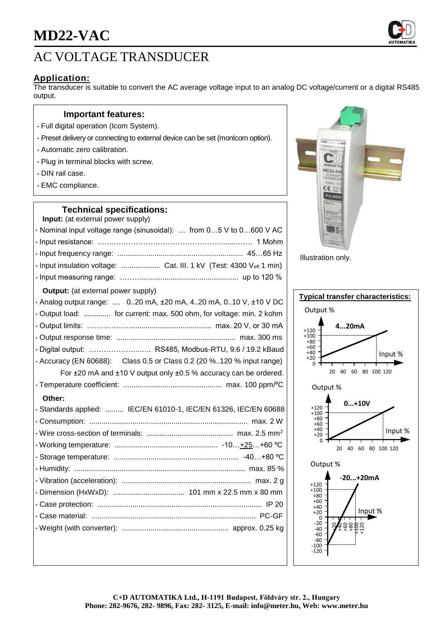

# **Application:**

The transducer is suitable to convert the AC average voltage input to an analog DC voltage/current or a digital RS485 output.

### **Important features:**

- Full digital operation (Icom System).
- Preset delivery or connecting to external device can be set (monIcom option).
- Automatic zero calibration.
- Plug in terminal blocks with screw.
- DIN rail case.
- EMC compliance.

### **Technical specifications:**

| <b>Input:</b> (at external power supply)                            |
|---------------------------------------------------------------------|
| · Nominal input voltage range (sinusoidal):  from 05 V to 0600 V AC |
|                                                                     |
|                                                                     |
|                                                                     |
|                                                                     |
| <b>Output:</b> (at external power supply)                           |

# • Analog output range: .... 0..20 mA, ±20 mA, 4..20 mA, 0..10 V, ±10 V DC • Output load: ............. for current: max. 500 ohm, for voltage: min. 2 kohm • Output limits: ………………....................................... max. 20 V, or 30 mA • Output response time: .......................................................... max. 300 ms • Digital output: ………………...….. RS485, Modbus-RTU, 9.6 / 19.2 kBaud • Accuracy (EN 60688): Class 0.5 or Class 0.2 (20 %..120 % input range) For ±20 mA and ±10 V output only ±0.5 % accuracy can be ordered. • Temperature coefficient: ................................................ max. 100 ppm/ºC **Other:** • Standards applied: ......... IEC/EN 61010-1, IEC/EN 61326, IEC/EN 60688